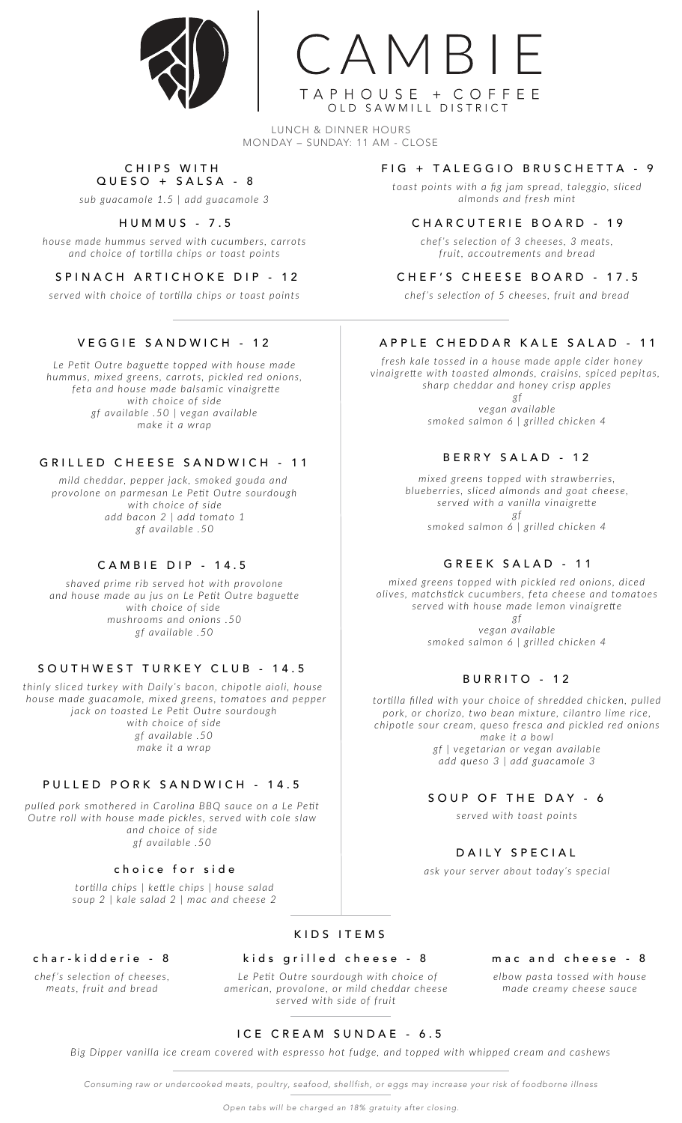



LUNCH & DINNER HOURS MONDAY – SUNDAY: 11 AM - CLOSE

#### C HIPS WITH QUESO + SALSA - 8

*sub guacamole 1.5 | add guacamole 3*

### HUMMUS - 7 . 5

*house made hummus served with cucumbers, carrots and choice of tortilla chips or toast points*

### SPINACH ARTICHOKE DIP - 12

*served with choice of tortilla chips or toast points*

# VEGGIE SANDWICH - 12

*Le Petit Outre baguette topped with house made hummus, mixed greens, carrots, pickled red onions, feta and house made balsamic vinaigrette with choice of side gf available .50 | vegan available make it a wrap*

#### GRILLED CHEESE SANDWICH - 11

*mild cheddar, pepper jack, smoked gouda and provolone on parmesan Le Petit Outre sourdough with choice of side add bacon 2 | add tomato 1 gf available .50*

### CAMBIE DIP - 1 4 . 5

*shaved prime rib served hot with provolone and house made au jus on Le Petit Outre baguette with choice of side mushrooms and onions .50 gf available .50*

### SOUTHWEST TURKEY CLUB - 14.5

*thinly sliced turkey with Daily's bacon, chipotle aioli, house house made guacamole, mixed greens, tomatoes and pepper jack on toasted Le Petit Outre sourdough with choice of side gf available .50 make it a wrap*

## PULLED PORK SANDWICH - 14.5

*pulled pork smothered in Carolina BBQ sauce on a Le Petit Outre roll with house made pickles, served with cole slaw and choice of side gf available .50*

#### choice for sid e

*tortilla chips | kettle chips | house salad soup 2 | kale salad 2 | mac and cheese 2*

# KIDS ITEMS

### kids grilled cheese - 8

 *Le Petit Outre sourdough with choice of american, provolone, or mild cheddar cheese served with side of fruit*

#### FIG + TALEGGIO BRUSCHETTA - 9

*toast points with a fig jam spread, taleggio, sliced almonds and fresh mint*

#### CHARCUTERIE BO A RD - 1 9

*chef's selection of 3 cheeses, 3 meats, fruit, accoutrements and bread*

#### CHEF'S CHEESE BOARD - 17.5

*chef's selection of 5 cheeses, fruit and bread*

#### APPLE CHEDDAR KALE SALAD - 11

*fresh kale tossed in a house made apple cider honey vinaigrette with toasted almonds, craisins, spiced pepitas, sharp cheddar and honey crisp apples*

> *gf vegan available smoked salmon 6 | grilled chicken 4*

### BERRY SALAD - 12

*mixed greens topped with strawberries, blueberries, sliced almonds and goat cheese, served with a vanilla vinaigrette gf*

*smoked salmon 6 | grilled chicken 4*

#### GREEK SALAD - 11

*mixed greens topped with pickled red onions, diced olives, matchstick cucumbers, feta cheese and tomatoes served with house made lemon vinaigrette gf vegan available*

*smoked salmon 6 | grilled chicken 4*

#### BURRITO - 12

*tortilla filled with your choice of shredded chicken, pulled pork, or chorizo, two bean mixture, cilantro lime rice, chipotle sour cream, queso fresca and pickled red onions make it a bowl gf | vegetarian or vegan available add queso 3 | add guacamole 3*

#### SOUP OF THE DAY - 6

*served with toast points*

### DAILY SPECIAL

*ask your server about today's special*

#### mac and cheese - 8

*elbow pasta tossed with house made creamy cheese sauce*

### char-kidderie - 8

*chef's selection of cheeses, meats, fruit and bread*

# ICE CREAM SUNDAE - 6.5

*Big Dipper vanilla ice cream covered with espresso hot fudge, and topped with whipped cream and cashews*

*Consuming raw or undercooked meats, poultry, seafood, shellfish, or eggs may increase your risk of foodborne illness*